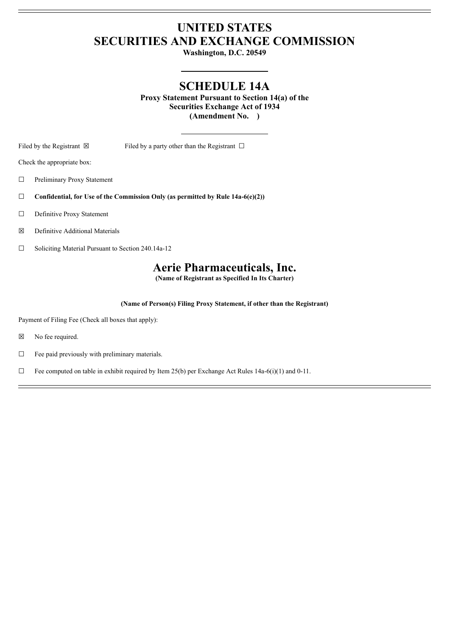## **UNITED STATES SECURITIES AND EXCHANGE COMMISSION**

**Washington, D.C. 20549**

## **SCHEDULE 14A**

**Proxy Statement Pursuant to Section 14(a) of the Securities Exchange Act of 1934 (Amendment No. )**

Filed by the Registrant  $\boxtimes$  Filed by a party other than the Registrant  $\Box$ 

Check the appropriate box:

☐ Preliminary Proxy Statement

☐ **Confidential, for Use of the Commission Only (as permitted by Rule 14a-6(e)(2))**

□ Definitive Proxy Statement

☒ Definitive Additional Materials

☐ Soliciting Material Pursuant to Section 240.14a-12

#### **Aerie Pharmaceuticals, Inc.**

**(Name of Registrant as Specified In Its Charter)**

**(Name of Person(s) Filing Proxy Statement, if other than the Registrant)**

Payment of Filing Fee (Check all boxes that apply):

☒ No fee required.

 $\Box$  Fee paid previously with preliminary materials.

 $\Box$  Fee computed on table in exhibit required by Item 25(b) per Exchange Act Rules 14a-6(i)(1) and 0-11.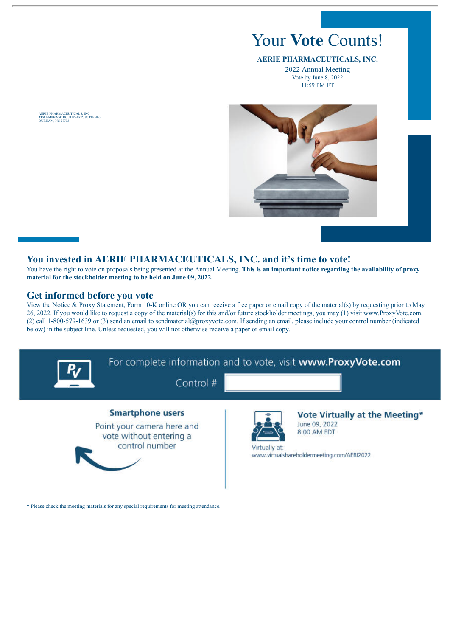# Your **Vote** Counts!

#### **AERIE PHARMACEUTICALS, INC.**

2022 Annual Meeting Vote by June 8, 2022 11:59 PM ET



#### **You invested in AERIE PHARMACEUTICALS, INC. and it's time to vote!**

You have the right to vote on proposals being presented at the Annual Meeting. **This is an important notice regarding the availability of proxy material for the stockholder meeting to be held on June 09, 2022.**

#### **Get informed before you vote**

View the Notice & Proxy Statement, Form 10-K online OR you can receive a free paper or email copy of the material(s) by requesting prior to May 26, 2022. If you would like to request a copy of the material(s) for this and/or future stockholder meetings, you may (1) visit www.ProxyVote.com, (2) call 1-800-579-1639 or (3) send an email to sendmaterial@proxyvote.com. If sending an email, please include your control number (indicated below) in the subject line. Unless requested, you will not otherwise receive a paper or email copy.



\* Please check the meeting materials for any special requirements for meeting attendance.

AERIE PHARMACEUTICALS, INC. 4301 EMPEROR BOULEVARD, SUITE 400 DURHAM, NC 27703